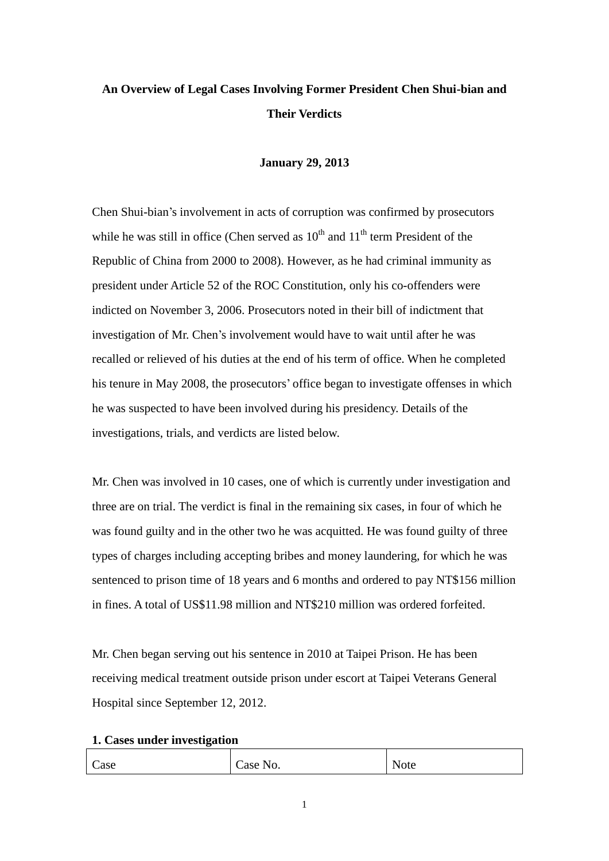# **An Overview of Legal Cases Involving Former President Chen Shui-bian and Their Verdicts**

#### **January 29, 2013**

Chen Shui-bian's involvement in acts of corruption was confirmed by prosecutors while he was still in office (Chen served as  $10<sup>th</sup>$  and  $11<sup>th</sup>$  term President of the Republic of China from 2000 to 2008). However, as he had criminal immunity as president under Article 52 of the ROC Constitution, only his co-offenders were indicted on November 3, 2006. Prosecutors noted in their bill of indictment that investigation of Mr. Chen's involvement would have to wait until after he was recalled or relieved of his duties at the end of his term of office. When he completed his tenure in May 2008, the prosecutors' office began to investigate offenses in which he was suspected to have been involved during his presidency. Details of the investigations, trials, and verdicts are listed below.

Mr. Chen was involved in 10 cases, one of which is currently under investigation and three are on trial. The verdict is final in the remaining six cases, in four of which he was found guilty and in the other two he was acquitted. He was found guilty of three types of charges including accepting bribes and money laundering, for which he was sentenced to prison time of 18 years and 6 months and ordered to pay NT\$156 million in fines. A total of US\$11.98 million and NT\$210 million was ordered forfeited.

Mr. Chen began serving out his sentence in 2010 at Taipei Prison. He has been receiving medical treatment outside prison under escort at Taipei Veterans General Hospital since September 12, 2012.

#### **1. Cases under investigation**

| Case<br><b>Note</b><br>Case No. |  |
|---------------------------------|--|
|---------------------------------|--|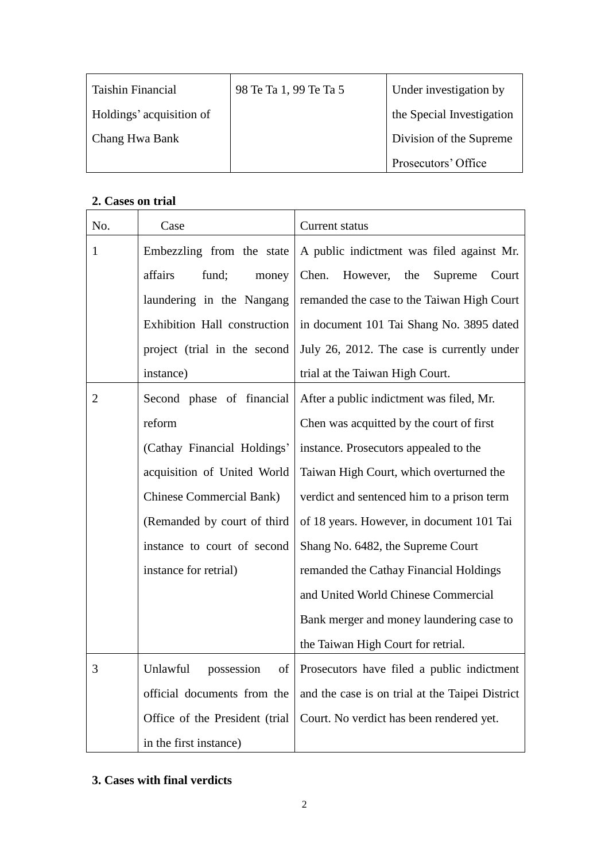| <b>Taishin Financial</b> | 98 Te Ta 1, 99 Te Ta 5 | Under investigation by    |
|--------------------------|------------------------|---------------------------|
| Holdings' acquisition of |                        | the Special Investigation |
| Chang Hwa Bank           |                        | Division of the Supreme   |
|                          |                        | Prosecutors' Office       |

## **2. Cases on trial**

| No. | Case                                    | Current status                                  |
|-----|-----------------------------------------|-------------------------------------------------|
| 1   | Embezzling from the state               | A public indictment was filed against Mr.       |
|     | fund;<br>affairs<br>money               | Chen.<br>However,<br>the<br>Supreme<br>Court    |
|     | laundering in the Nangang               | remanded the case to the Taiwan High Court      |
|     | Exhibition Hall construction            | in document 101 Tai Shang No. 3895 dated        |
|     | project (trial in the second            | July 26, 2012. The case is currently under      |
|     | instance)                               | trial at the Taiwan High Court.                 |
| 2   | Second phase of financial               | After a public indictment was filed, Mr.        |
|     | reform                                  | Chen was acquitted by the court of first        |
|     | (Cathay Financial Holdings'             | instance. Prosecutors appealed to the           |
|     | acquisition of United World             | Taiwan High Court, which overturned the         |
|     | <b>Chinese Commercial Bank)</b>         | verdict and sentenced him to a prison term      |
|     | (Remanded by court of third             | of 18 years. However, in document 101 Tai       |
|     | instance to court of second             | Shang No. 6482, the Supreme Court               |
|     | instance for retrial)                   | remanded the Cathay Financial Holdings          |
|     |                                         | and United World Chinese Commercial             |
|     |                                         | Bank merger and money laundering case to        |
|     |                                         | the Taiwan High Court for retrial.              |
|     | Unlawful possession<br>$\left  \right $ | Prosecutors have filed a public indictment      |
|     | official documents from the             | and the case is on trial at the Taipei District |
|     | Office of the President (trial          | Court. No verdict has been rendered yet.        |
|     | in the first instance)                  |                                                 |

### **3. Cases with final verdicts**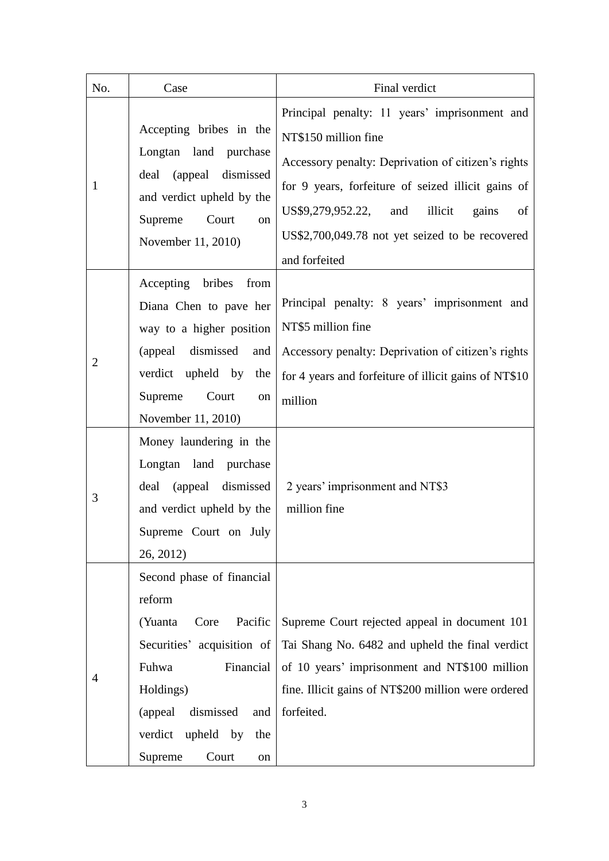| No.                 | Case                                                                                                                                                                                                                                                                                                                          | Final verdict                                                                                                                                                                                                                                                                                            |
|---------------------|-------------------------------------------------------------------------------------------------------------------------------------------------------------------------------------------------------------------------------------------------------------------------------------------------------------------------------|----------------------------------------------------------------------------------------------------------------------------------------------------------------------------------------------------------------------------------------------------------------------------------------------------------|
| 1                   | Accepting bribes in the<br>Longtan land purchase<br>(appeal dismissed<br>deal<br>and verdict upheld by the<br>Supreme<br>Court<br>on<br>November 11, 2010)                                                                                                                                                                    | Principal penalty: 11 years' imprisonment and<br>NT\$150 million fine<br>Accessory penalty: Deprivation of citizen's rights<br>for 9 years, forfeiture of seized illicit gains of<br>illicit<br>US\$9,279,952.22, and<br>gains<br>of<br>US\$2,700,049.78 not yet seized to be recovered<br>and forfeited |
| $\overline{2}$<br>3 | Accepting bribes<br>from<br>Diana Chen to pave her<br>way to a higher position<br>(appeal dismissed<br>and<br>verdict upheld by<br>the<br>Supreme<br>Court<br>on<br>November 11, 2010)<br>Money laundering in the<br>Longtan land purchase<br>(appeal dismissed<br>deal<br>and verdict upheld by the<br>Supreme Court on July | Principal penalty: 8 years' imprisonment and<br>NT\$5 million fine<br>Accessory penalty: Deprivation of citizen's rights<br>for 4 years and forfeiture of illicit gains of NT\$10<br>million<br>2 years' imprisonment and NT\$3<br>million fine                                                          |
| 4                   | 26, 2012)<br>Second phase of financial<br>reform<br>(Yuanta<br>Pacific<br>Core<br>Securities' acquisition of<br>Fuhwa<br>Financial<br>Holdings)<br>dismissed<br>(appeal<br>and<br>verdict upheld by<br>the<br>Supreme<br>Court<br>on                                                                                          | Supreme Court rejected appeal in document 101<br>Tai Shang No. 6482 and upheld the final verdict<br>of 10 years' imprisonment and NT\$100 million<br>fine. Illicit gains of NT\$200 million were ordered<br>forfeited.                                                                                   |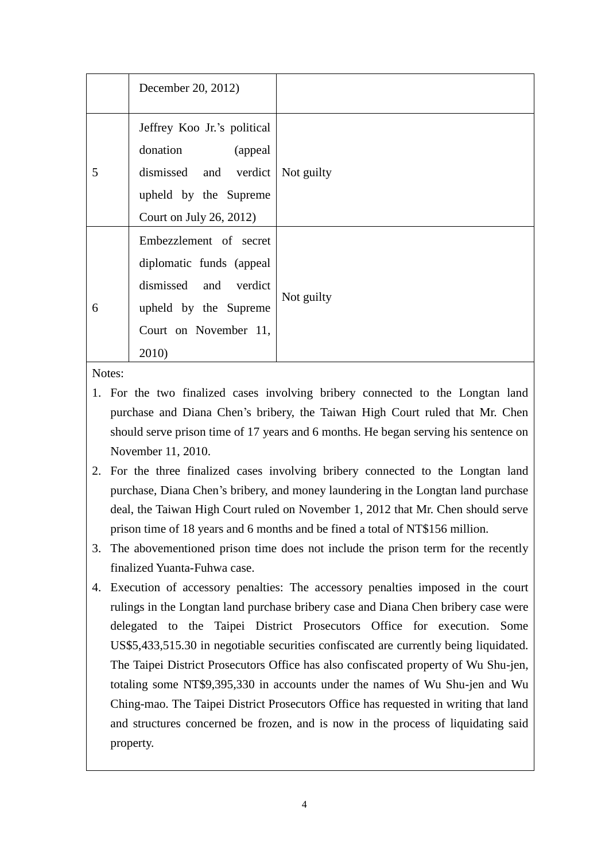|   | December 20, 2012)                                  |            |  |
|---|-----------------------------------------------------|------------|--|
| 5 | Jeffrey Koo Jr.'s political<br>donation<br>(appeal) | Not guilty |  |
|   | dismissed and verdict                               |            |  |
|   | upheld by the Supreme                               |            |  |
|   | Court on July 26, 2012)                             |            |  |
|   | Embezzlement of secret                              |            |  |
| 6 | diplomatic funds (appeal                            | Not guilty |  |
|   | dismissed and verdict                               |            |  |
|   | upheld by the Supreme                               |            |  |
|   | Court on November 11,                               |            |  |
|   | 2010)                                               |            |  |

Notes:

- 1. For the two finalized cases involving bribery connected to the Longtan land purchase and Diana Chen's bribery, the Taiwan High Court ruled that Mr. Chen should serve prison time of 17 years and 6 months. He began serving his sentence on November 11, 2010.
- 2. For the three finalized cases involving bribery connected to the Longtan land purchase, Diana Chen's bribery, and money laundering in the Longtan land purchase deal, the Taiwan High Court ruled on November 1, 2012 that Mr. Chen should serve prison time of 18 years and 6 months and be fined a total of NT\$156 million.
- 3. The abovementioned prison time does not include the prison term for the recently finalized Yuanta-Fuhwa case.
- 4. Execution of accessory penalties: The accessory penalties imposed in the court rulings in the Longtan land purchase bribery case and Diana Chen bribery case were delegated to the Taipei District Prosecutors Office for execution. Some US\$5,433,515.30 in negotiable securities confiscated are currently being liquidated. The Taipei District Prosecutors Office has also confiscated property of Wu Shu-jen, totaling some NT\$9,395,330 in accounts under the names of Wu Shu-jen and Wu Ching-mao. The Taipei District Prosecutors Office has requested in writing that land and structures concerned be frozen, and is now in the process of liquidating said property.